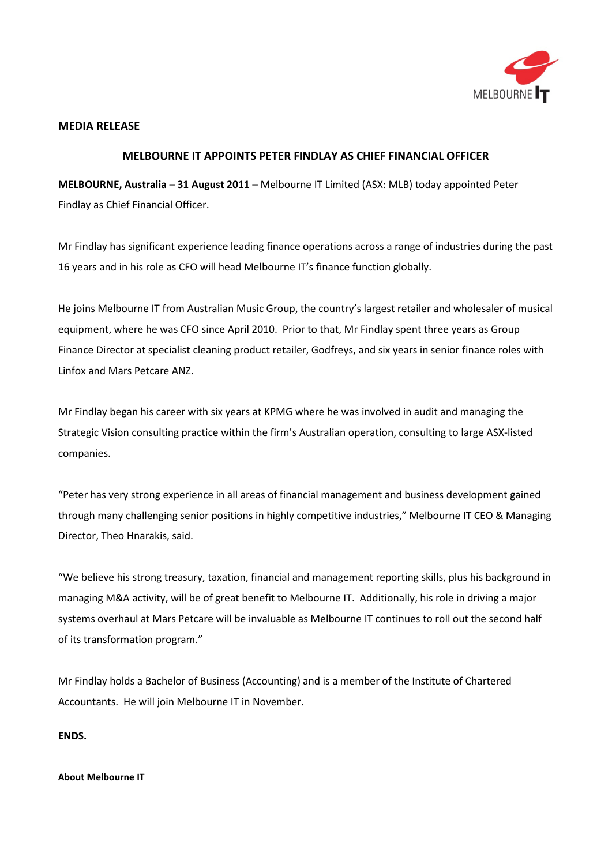

## **MEDIA RELEASE**

## **MELBOURNE IT APPOINTS PETER FINDLAY AS CHIEF FINANCIAL OFFICER**

**MELBOURNE, Australia – 31 August 2011 –** Melbourne IT Limited (ASX: MLB) today appointed Peter Findlay as Chief Financial Officer.

Mr Findlay has significant experience leading finance operations across a range of industries during the past 16 years and in his role as CFO will head Melbourne IT's finance function globally.

He joins Melbourne IT from Australian Music Group, the country's largest retailer and wholesaler of musical equipment, where he was CFO since April 2010. Prior to that, Mr Findlay spent three years as Group Finance Director at specialist cleaning product retailer, Godfreys, and six years in senior finance roles with Linfox and Mars Petcare ANZ.

Mr Findlay began his career with six years at KPMG where he was involved in audit and managing the Strategic Vision consulting practice within the firm's Australian operation, consulting to large ASX-listed companies.

"Peter has very strong experience in all areas of financial management and business development gained through many challenging senior positions in highly competitive industries," Melbourne IT CEO & Managing Director, Theo Hnarakis, said.

"We believe his strong treasury, taxation, financial and management reporting skills, plus his background in managing M&A activity, will be of great benefit to Melbourne IT. Additionally, his role in driving a major systems overhaul at Mars Petcare will be invaluable as Melbourne IT continues to roll out the second half of its transformation program."

Mr Findlay holds a Bachelor of Business (Accounting) and is a member of the Institute of Chartered Accountants. He will join Melbourne IT in November.

**ENDS.**

## **About Melbourne IT**